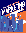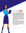# **FORUM GOAL**

This Forum is related to the College, Career, and Life Preparation program at East Providence High School and the concepts of Personal Branding, Networking, Storytelling, and Success introduced and developed in this class. Since most students today are regularly posting and sharing personal information on social media, i.e. marketing their personal brands, this Forum is relevant to how students tell their story and 'market' their personal brands, especially but not limited to, social media. Student marketing of their personal brands is similar to the ways companies 'market'/promote their corporate brands using all forms of media.

'Marketing' is a multi-billion industry with lucrative and fulfilling career opportunities. Companies and organizations are continually looking to hire people with marketing skills. Today's Forum of marketing experts will share stories from their career path, challenges and successes, uncertainty and clarity, as well as what is taking place in 21st century 'marketing'.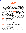# **MARTING PANEL**

**SOREN RYHERD** Soren and his wife Vida started Working Planet, a successfocused digital advertising analytics and management company. This means Working Planet buys specific locations on specific company web sites for their customers' advertising and then continuously collects data on the performance of the advertising. 'Where to place their clients ads' is based on DATA; for instance, the web site(s) Working Planet chooses to place their client's ad is based on DATA showing which web platforms Working Planet's client's customers are most likely to visit. Working Planet continually monitors and measures each client advertisements to see who sees the ad, how long an advertisement is looked at, and which ads eventually cause someone to contact a Working Planet client for more information. Soren has a Master's Degree from Boston University in Geography/Remote Sensing. He was a Graduate Research Fellow working for NASA. Soren's Master's Degree thesis was titled "*The Effect of Texture on the Segmentation of Remotely Sensed Images*". Soren was working on a Doctorate Degree from Boston University on statistical texture algorithms on desert landscape recovery mapping in Kuwait following the First Gulf War.

**NICK DECESARE** Nick is owner and President of Third Effect Marketing & Design. From web site construction and graphic design to multi-channel marketing (social media, email, micro site, direct mail, banners and signage, etc) strategy, Nick is a veteran design and marketing strategist with 20 years of experience in New York City before relocating to Rhode Island in 2003. Nick was the Creative Director at Mercury Print & Mail and Signature Printing before starting 3rd Effect Marketing & Design. A pre-Med Major at New York University (NYU) before transitioning to Graphic Arts, Nick graduated from NYU with a BA in Graphic Arts in 1988. Nick is also a musician and "exceptional cook".

**ANNA BARCELOS** Anna is a graduate of Bryant University with degrees in Marketing and Sociology. Anna was the Director of Marketing Strategy and Analytics at TWOBOLT, the Director of Client Solutions at Ten24Digital Solutions and a Marketing Manager at TRIBALVISION before becoming the Director of Marketing at Vector North America. Vector provides the software and hardware being used in the electronics of automobiles, trucks, etc which control a car's many functions including switching the engine on and off, opening and closing windows, and keeping the temperature comfortable. Vector's biggest customers are FORD, GM, TESLA, BMW, MERCEDES, and many more. Vector is a private company headquartered in Stuttgart, Germany with more than 3,000 employees and over a billion dollars in sales.

FERNANDO PEREZ FFernando is a 2016 graduate of Hope High School. He was part of the Hope Life Skills program at Hope High School and represented the Life Skills program at the National Youth Leadership Forum in Washington, D.C. in the summer of 2015. "Because of Fernando's outstanding personal brand and his exceptional networking skills and work ethic", he was awarded a paid summer internship through the Hope Life Skills program at the CVS Health corporate office working in the Logistics and Merchandise Planning Divisions at the company and later during high school vacations. CVS Health continued to offer Fernando work during his education at the University of Rhode Island while a student in the Computer Science School. Fernando is presently a data analyst on the digital customer analytics team of CVS Health on their corporate campus in Woonsocket, RI. CVS Health is ranked 4th on the Fortune 500 list and 7th on the Fortune Global 500 list with over \$268 BILLION of revenue (2020).

**ALI DECESARE** Ali is currently a Project Manager and Producer at MSCHF - URL MSCHF.xyz. MSCHF is an art collective based in Brooklyn creating "curiosity and mischief and profit." MSCHF operates on a drop cycle, launching new products every second and fourth Monday of the month. In October of 2021, MSCHF was signed as an artist with CAA.

As a Project Manager, Ali directs and leads a variety of collaborators from different fields including design, engineering, manufacturing, and logistics. Ali started her college career as a Mechanical Engineering Major at New York University and graduated in 2020 from NYU's Tandon School of Engineering with a Bachelor of Science in Integrated Design and Media. During her time at NYU, Ali participated in many different organizations and projects that drove her to develop a deep passion for management, design, and engineering.

**STEPHEN CRONIN** Stephen Cronin will be the moderator of this conversation among the panel's professional marketers and East Providence High School students. In other words, his mission is to create an informative and fun 'conversation' among students and professionals giving each the opportunity to share stories, insights, and, most importantly, questions. Questions are more important than answers in this class. If a student is curious about something, their question is automatically 'good' and 'important'. Stephen Cronin is a graduate of Marist College in Poughkeepsie, New York and Providence College in Rhode Island. He has been the General Manager of a Massachusetts Cable Television company, and the President of Mercury Print & Mail and later TWOBOLT, a marketing strategy and services company. Presently, he works at Signature Printing in Business Development and client services; in other words, he's a salesman. Stephen also founded, developed, and volunteer taught the Hope Life Skills program (hopelifeskills.com), a for-credit course teaching fundamental life skills like personal branding, networking, storytelling (job interview and resume writing, social media expression, personal marketing skills, etc), time and change management, collaboration and creativity for 18 years at Hope High School. The Hope Life Skills program was inexplicably terminated in 2021.

### **ALSO IN ATTENDANCE**

Steve Etchells: Vice President of Social Media Technology Optimization at Fidelity Investments.

Dan Paquette: Vice President, Sales and Marketing, Signature Printing.

Braveen Mahendran: Helicopter Pilot; Entrepreneur.

Ly Nguyen: Lead Programmer, Signature Printing.

Josh Connors: Director - Digital Operations, CVS Health.

Vega Montanez: Film & Television Director and CEO of Coin Theory Media.

Donna Mumma: Vice President, Enterprise Digital Customer Success and Operations at CVS Health.

Tino Chow: Founder and President of Giant Shoulders, an agency helping mission-driven companies create larger impact using design thinking, storytelling, and branding.

Jude Amoako: Director of Partnerships at Nuñez, The People's Agency, providing Print Design, Logo Design, Brand Design, Advertising, Brand Consulting, Graphic Design, Web Design, Package Design, Illustration.